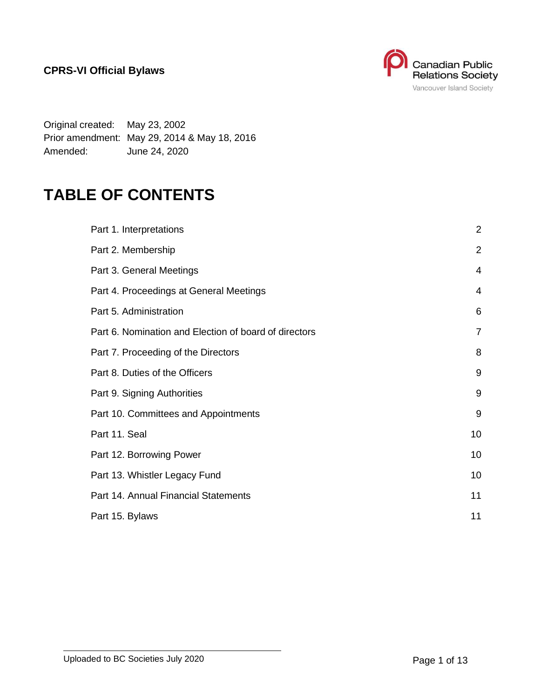

Original created: May 23, 2002 Prior amendment: May 29, 2014 & May 18, 2016 Amended: June 24, 2020

# **TABLE OF CONTENTS**

| Part 1. Interpretations                               | $\overline{2}$ |
|-------------------------------------------------------|----------------|
| Part 2. Membership                                    | $\overline{2}$ |
| Part 3. General Meetings                              | 4              |
| Part 4. Proceedings at General Meetings               | $\overline{4}$ |
| Part 5. Administration                                | 6              |
| Part 6. Nomination and Election of board of directors | 7              |
| Part 7. Proceeding of the Directors                   | 8              |
| Part 8. Duties of the Officers                        | 9              |
| Part 9. Signing Authorities                           | 9              |
| Part 10. Committees and Appointments                  | 9              |
| Part 11. Seal                                         | 10             |
| Part 12. Borrowing Power                              | 10             |
| Part 13. Whistler Legacy Fund                         | 10             |
| Part 14. Annual Financial Statements                  | 11             |
| Part 15. Bylaws                                       | 11             |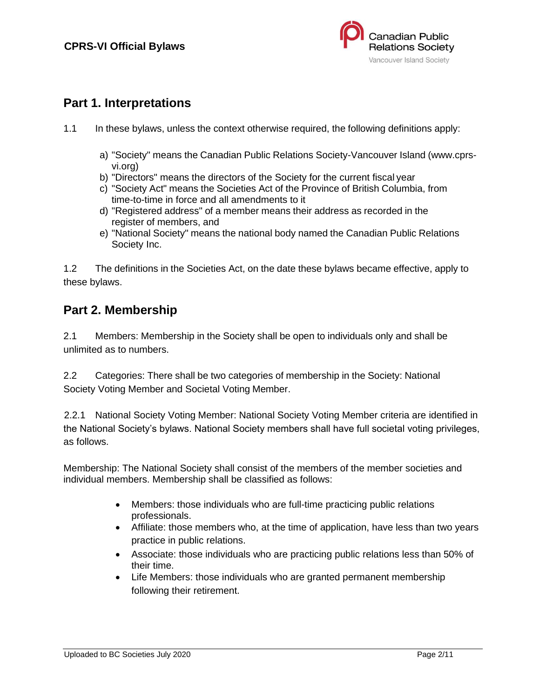

### <span id="page-1-0"></span>**Part 1. Interpretations**

- 1.1 In these bylaws, unless the context otherwise required, the following definitions apply:
	- a) "Society" means the Canadian Public Relations Society-Vancouver Island (www.cprsvi.org)
	- b) "Directors" means the directors of the Society for the current fiscal year
	- c) "Society Act" means the Societies Act of the Province of British Columbia, from time-to-time in force and all amendments to it
	- d) "Registered address" of a member means their address as recorded in the register of members, and
	- e) "National Society" means the national body named the Canadian Public Relations Society Inc.

1.2 The definitions in the Societies Act, on the date these bylaws became effective, apply to these bylaws.

#### <span id="page-1-1"></span>**Part 2. Membership**

2.1 Members: Membership in the Society shall be open to individuals only and shall be unlimited as to numbers.

2.2 Categories: There shall be two categories of membership in the Society: National Society Voting Member and Societal Voting Member.

2.2.1 National Society Voting Member: National Society Voting Member criteria are identified in the National Society's bylaws. National Society members shall have full societal voting privileges, as follows.

Membership: The National Society shall consist of the members of the member societies and individual members. Membership shall be classified as follows:

- Members: those individuals who are full-time practicing public relations professionals.
- Affiliate: those members who, at the time of application, have less than two years practice in public relations.
- Associate: those individuals who are practicing public relations less than 50% of their time.
- Life Members: those individuals who are granted permanent membership following their retirement.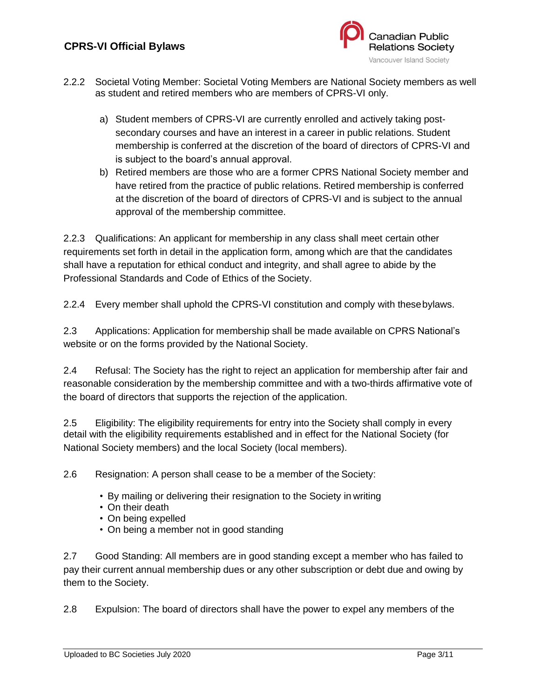

- 2.2.2 Societal Voting Member: Societal Voting Members are National Society members as well as student and retired members who are members of CPRS-VI only.
	- a) Student members of CPRS-VI are currently enrolled and actively taking postsecondary courses and have an interest in a career in public relations. Student membership is conferred at the discretion of the board of directors of CPRS-VI and is subject to the board's annual approval.
	- b) Retired members are those who are a former CPRS National Society member and have retired from the practice of public relations. Retired membership is conferred at the discretion of the board of directors of CPRS-VI and is subject to the annual approval of the membership committee.

2.2.3 Qualifications: An applicant for membership in any class shall meet certain other requirements set forth in detail in the application form, among which are that the candidates shall have a reputation for ethical conduct and integrity, and shall agree to abide by the Professional Standards and Code of Ethics of the Society.

2.2.4 Every member shall uphold the CPRS-VI constitution and comply with thesebylaws.

2.3 Applications: Application for membership shall be made available on CPRS National's website or on the forms provided by the National Society.

2.4 Refusal: The Society has the right to reject an application for membership after fair and reasonable consideration by the membership committee and with a two-thirds affirmative vote of the board of directors that supports the rejection of the application.

2.5 Eligibility: The eligibility requirements for entry into the Society shall comply in every detail with the eligibility requirements established and in effect for the National Society (for National Society members) and the local Society (local members).

2.6 Resignation: A person shall cease to be a member of the Society:

- By mailing or delivering their resignation to the Society in writing
- On their death
- On being expelled
- On being a member not in good standing

2.7 Good Standing: All members are in good standing except a member who has failed to pay their current annual membership dues or any other subscription or debt due and owing by them to the Society.

2.8 Expulsion: The board of directors shall have the power to expel any members of the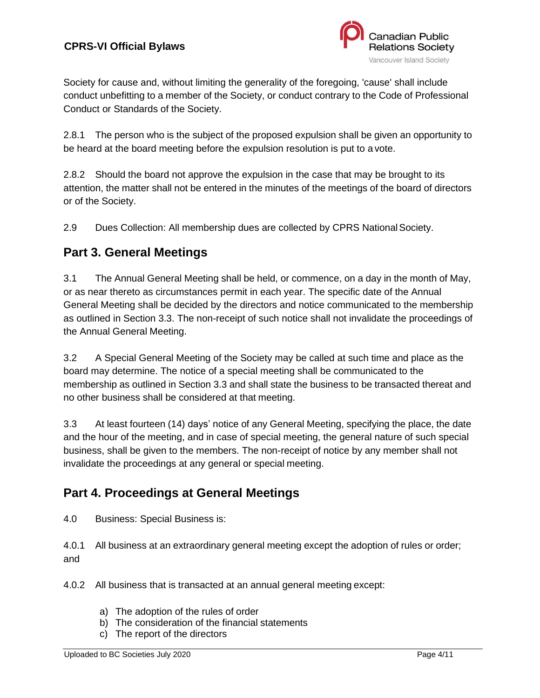

Society for cause and, without limiting the generality of the foregoing, 'cause' shall include conduct unbefitting to a member of the Society, or conduct contrary to the Code of Professional Conduct or Standards of the Society.

2.8.1 The person who is the subject of the proposed expulsion shall be given an opportunity to be heard at the board meeting before the expulsion resolution is put to a vote.

2.8.2 Should the board not approve the expulsion in the case that may be brought to its attention, the matter shall not be entered in the minutes of the meetings of the board of directors or of the Society.

2.9 Dues Collection: All membership dues are collected by CPRS National Society.

#### <span id="page-3-0"></span>**Part 3. General Meetings**

3.1 The Annual General Meeting shall be held, or commence, on a day in the month of May, or as near thereto as circumstances permit in each year. The specific date of the Annual General Meeting shall be decided by the directors and notice communicated to the membership as outlined in Section 3.3. The non-receipt of such notice shall not invalidate the proceedings of the Annual General Meeting.

3.2 A Special General Meeting of the Society may be called at such time and place as the board may determine. The notice of a special meeting shall be communicated to the membership as outlined in Section 3.3 and shall state the business to be transacted thereat and no other business shall be considered at that meeting.

3.3 At least fourteen (14) days' notice of any General Meeting, specifying the place, the date and the hour of the meeting, and in case of special meeting, the general nature of such special business, shall be given to the members. The non-receipt of notice by any member shall not invalidate the proceedings at any general or special meeting.

#### <span id="page-3-1"></span>**Part 4. Proceedings at General Meetings**

4.0 Business: Special Business is:

4.0.1 All business at an extraordinary general meeting except the adoption of rules or order; and

4.0.2 All business that is transacted at an annual general meeting except:

- a) The adoption of the rules of order
- b) The consideration of the financial statements
- c) The report of the directors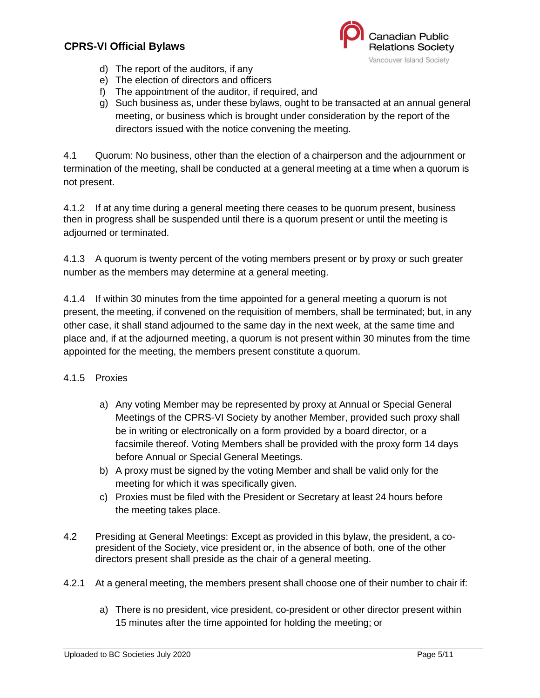

- d) The report of the auditors, if any
- e) The election of directors and officers
- f) The appointment of the auditor, if required, and
- g) Such business as, under these bylaws, ought to be transacted at an annual general meeting, or business which is brought under consideration by the report of the directors issued with the notice convening the meeting.

4.1 Quorum: No business, other than the election of a chairperson and the adjournment or termination of the meeting, shall be conducted at a general meeting at a time when a quorum is not present.

4.1.2 If at any time during a general meeting there ceases to be quorum present, business then in progress shall be suspended until there is a quorum present or until the meeting is adjourned or terminated.

4.1.3 A quorum is twenty percent of the voting members present or by proxy or such greater number as the members may determine at a general meeting.

4.1.4 If within 30 minutes from the time appointed for a general meeting a quorum is not present, the meeting, if convened on the requisition of members, shall be terminated; but, in any other case, it shall stand adjourned to the same day in the next week, at the same time and place and, if at the adjourned meeting, a quorum is not present within 30 minutes from the time appointed for the meeting, the members present constitute a quorum.

#### 4.1.5 Proxies

- a) Any voting Member may be represented by proxy at Annual or Special General Meetings of the CPRS-VI Society by another Member, provided such proxy shall be in writing or electronically on a form provided by a board director, or a facsimile thereof. Voting Members shall be provided with the proxy form 14 days before Annual or Special General Meetings.
- b) A proxy must be signed by the voting Member and shall be valid only for the meeting for which it was specifically given.
- c) Proxies must be filed with the President or Secretary at least 24 hours before the meeting takes place.
- 4.2 Presiding at General Meetings: Except as provided in this bylaw, the president, a copresident of the Society, vice president or, in the absence of both, one of the other directors present shall preside as the chair of a general meeting.
- 4.2.1 At a general meeting, the members present shall choose one of their number to chair if:
	- a) There is no president, vice president, co-president or other director present within 15 minutes after the time appointed for holding the meeting; or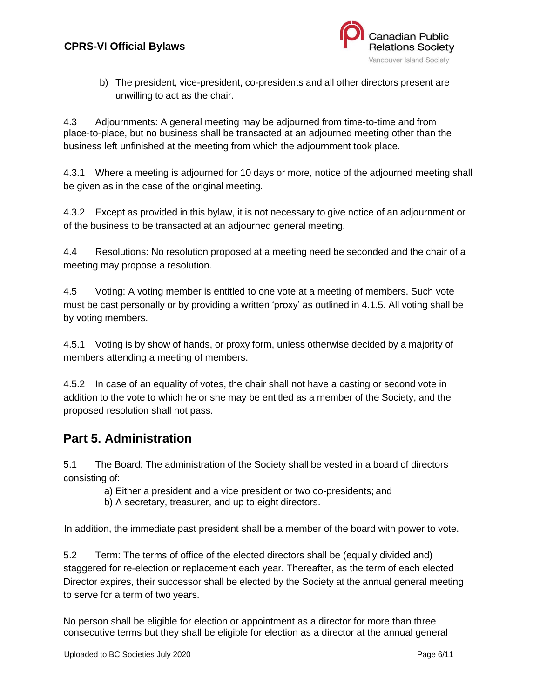

b) The president, vice-president, co-presidents and all other directors present are unwilling to act as the chair.

4.3 Adjournments: A general meeting may be adjourned from time-to-time and from place-to-place, but no business shall be transacted at an adjourned meeting other than the business left unfinished at the meeting from which the adjournment took place.

4.3.1 Where a meeting is adjourned for 10 days or more, notice of the adjourned meeting shall be given as in the case of the original meeting.

4.3.2 Except as provided in this bylaw, it is not necessary to give notice of an adjournment or of the business to be transacted at an adjourned general meeting.

4.4 Resolutions: No resolution proposed at a meeting need be seconded and the chair of a meeting may propose a resolution.

4.5 Voting: A voting member is entitled to one vote at a meeting of members. Such vote must be cast personally or by providing a written 'proxy' as outlined in 4.1.5. All voting shall be by voting members.

4.5.1 Voting is by show of hands, or proxy form, unless otherwise decided by a majority of members attending a meeting of members.

4.5.2 In case of an equality of votes, the chair shall not have a casting or second vote in addition to the vote to which he or she may be entitled as a member of the Society, and the proposed resolution shall not pass.

### <span id="page-5-0"></span>**Part 5. Administration**

5.1 The Board: The administration of the Society shall be vested in a board of directors consisting of:

a) Either a president and a vice president or two co-presidents; and

b) A secretary, treasurer, and up to eight directors.

In addition, the immediate past president shall be a member of the board with power to vote.

5.2 Term: The terms of office of the elected directors shall be (equally divided and) staggered for re-election or replacement each year. Thereafter, as the term of each elected Director expires, their successor shall be elected by the Society at the annual general meeting to serve for a term of two years.

No person shall be eligible for election or appointment as a director for more than three consecutive terms but they shall be eligible for election as a director at the annual general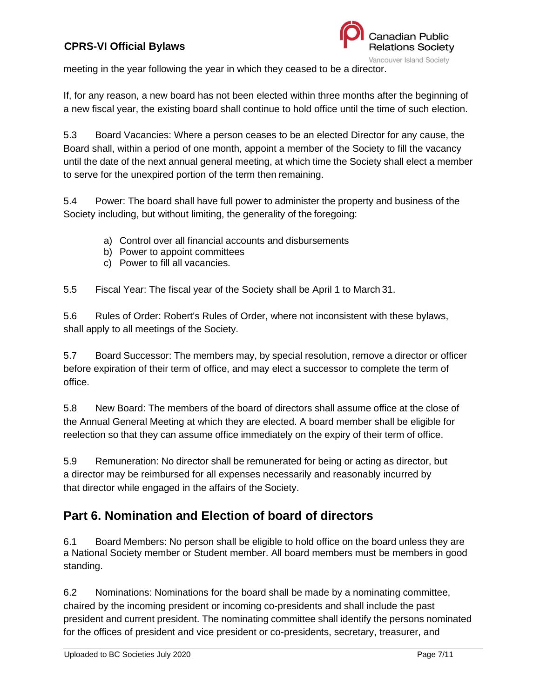

meeting in the year following the year in which they ceased to be a director.

If, for any reason, a new board has not been elected within three months after the beginning of a new fiscal year, the existing board shall continue to hold office until the time of such election.

5.3 Board Vacancies: Where a person ceases to be an elected Director for any cause, the Board shall, within a period of one month, appoint a member of the Society to fill the vacancy until the date of the next annual general meeting, at which time the Society shall elect a member to serve for the unexpired portion of the term then remaining.

5.4 Power: The board shall have full power to administer the property and business of the Society including, but without limiting, the generality of the foregoing:

- a) Control over all financial accounts and disbursements
- b) Power to appoint committees
- c) Power to fill all vacancies.

5.5 Fiscal Year: The fiscal year of the Society shall be April 1 to March 31.

5.6 Rules of Order: Robert's Rules of Order, where not inconsistent with these bylaws, shall apply to all meetings of the Society.

5.7 Board Successor: The members may, by special resolution, remove a director or officer before expiration of their term of office, and may elect a successor to complete the term of office.

5.8 New Board: The members of the board of directors shall assume office at the close of the Annual General Meeting at which they are elected. A board member shall be eligible for reelection so that they can assume office immediately on the expiry of their term of office.

5.9 Remuneration: No director shall be remunerated for being or acting as director, but a director may be reimbursed for all expenses necessarily and reasonably incurred by that director while engaged in the affairs of the Society.

# <span id="page-6-0"></span>**Part 6. Nomination and Election of board of directors**

6.1 Board Members: No person shall be eligible to hold office on the board unless they are a National Society member or Student member. All board members must be members in good standing.

6.2 Nominations: Nominations for the board shall be made by a nominating committee, chaired by the incoming president or incoming co-presidents and shall include the past president and current president. The nominating committee shall identify the persons nominated for the offices of president and vice president or co-presidents, secretary, treasurer, and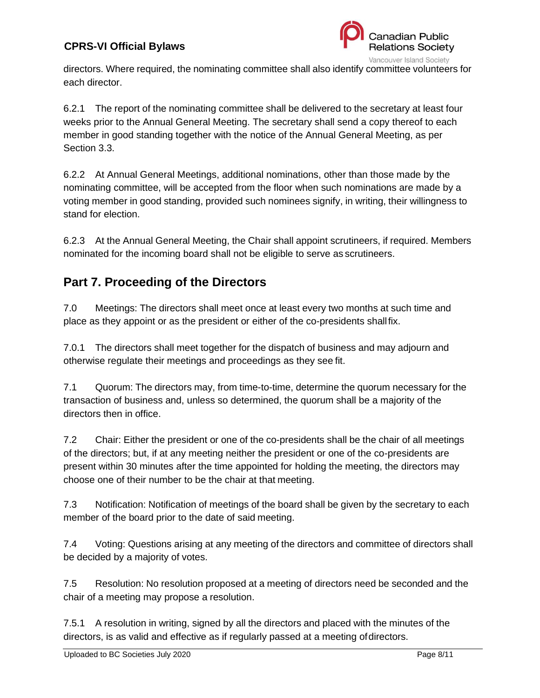

directors. Where required, the nominating committee shall also identify committee volunteers for each director.

6.2.1 The report of the nominating committee shall be delivered to the secretary at least four weeks prior to the Annual General Meeting. The secretary shall send a copy thereof to each member in good standing together with the notice of the Annual General Meeting, as per Section 3.3.

6.2.2 At Annual General Meetings, additional nominations, other than those made by the nominating committee, will be accepted from the floor when such nominations are made by a voting member in good standing, provided such nominees signify, in writing, their willingness to stand for election.

6.2.3 At the Annual General Meeting, the Chair shall appoint scrutineers, if required. Members nominated for the incoming board shall not be eligible to serve as scrutineers.

# <span id="page-7-0"></span>**Part 7. Proceeding of the Directors**

7.0 Meetings: The directors shall meet once at least every two months at such time and place as they appoint or as the president or either of the co-presidents shallfix.

7.0.1 The directors shall meet together for the dispatch of business and may adjourn and otherwise regulate their meetings and proceedings as they see fit.

7.1 Quorum: The directors may, from time-to-time, determine the quorum necessary for the transaction of business and, unless so determined, the quorum shall be a majority of the directors then in office.

7.2 Chair: Either the president or one of the co-presidents shall be the chair of all meetings of the directors; but, if at any meeting neither the president or one of the co-presidents are present within 30 minutes after the time appointed for holding the meeting, the directors may choose one of their number to be the chair at that meeting.

7.3 Notification: Notification of meetings of the board shall be given by the secretary to each member of the board prior to the date of said meeting.

7.4 Voting: Questions arising at any meeting of the directors and committee of directors shall be decided by a majority of votes.

7.5 Resolution: No resolution proposed at a meeting of directors need be seconded and the chair of a meeting may propose a resolution.

7.5.1 A resolution in writing, signed by all the directors and placed with the minutes of the directors, is as valid and effective as if regularly passed at a meeting ofdirectors.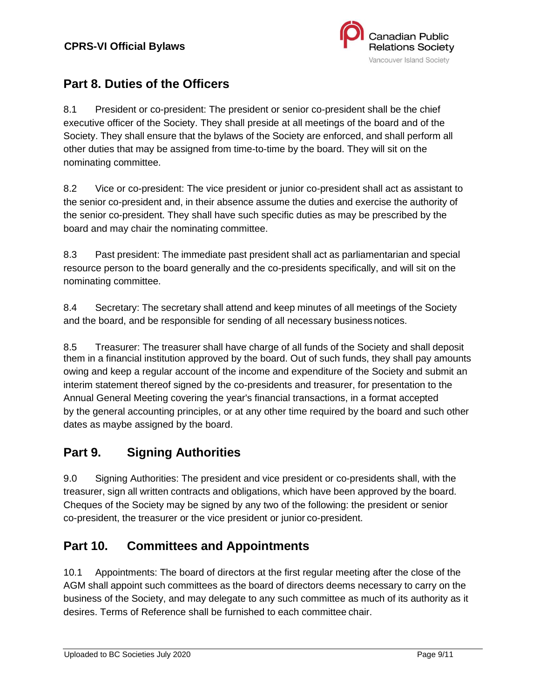

# <span id="page-8-0"></span>**Part 8. Duties of the Officers**

8.1 President or co-president: The president or senior co-president shall be the chief executive officer of the Society. They shall preside at all meetings of the board and of the Society. They shall ensure that the bylaws of the Society are enforced, and shall perform all other duties that may be assigned from time-to-time by the board. They will sit on the nominating committee.

8.2 Vice or co-president: The vice president or junior co-president shall act as assistant to the senior co-president and, in their absence assume the duties and exercise the authority of the senior co-president. They shall have such specific duties as may be prescribed by the board and may chair the nominating committee.

8.3 Past president: The immediate past president shall act as parliamentarian and special resource person to the board generally and the co-presidents specifically, and will sit on the nominating committee.

8.4 Secretary: The secretary shall attend and keep minutes of all meetings of the Society and the board, and be responsible for sending of all necessary businessnotices.

8.5 Treasurer: The treasurer shall have charge of all funds of the Society and shall deposit them in a financial institution approved by the board. Out of such funds, they shall pay amounts owing and keep a regular account of the income and expenditure of the Society and submit an interim statement thereof signed by the co-presidents and treasurer, for presentation to the Annual General Meeting covering the year's financial transactions, in a format accepted by the general accounting principles, or at any other time required by the board and such other dates as maybe assigned by the board.

# <span id="page-8-1"></span>**Part 9. Signing Authorities**

9.0 Signing Authorities: The president and vice president or co-presidents shall, with the treasurer, sign all written contracts and obligations, which have been approved by the board. Cheques of the Society may be signed by any two of the following: the president or senior co-president, the treasurer or the vice president or junior co-president.

# <span id="page-8-2"></span>**Part 10. Committees and Appointments**

10.1 Appointments: The board of directors at the first regular meeting after the close of the AGM shall appoint such committees as the board of directors deems necessary to carry on the business of the Society, and may delegate to any such committee as much of its authority as it desires. Terms of Reference shall be furnished to each committee chair.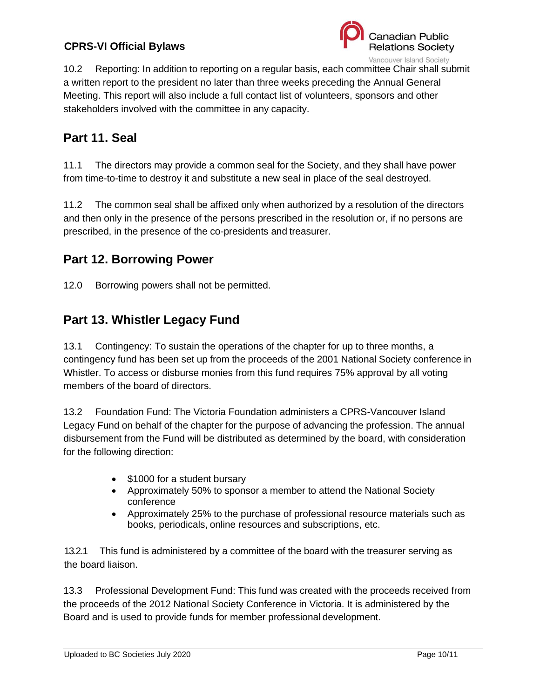

10.2 Reporting: In addition to reporting on a regular basis, each committee Chair shall submit a written report to the president no later than three weeks preceding the Annual General Meeting. This report will also include a full contact list of volunteers, sponsors and other stakeholders involved with the committee in any capacity.

# <span id="page-9-0"></span>**Part 11. Seal**

11.1 The directors may provide a common seal for the Society, and they shall have power from time-to-time to destroy it and substitute a new seal in place of the seal destroyed.

11.2 The common seal shall be affixed only when authorized by a resolution of the directors and then only in the presence of the persons prescribed in the resolution or, if no persons are prescribed, in the presence of the co-presidents and treasurer.

### <span id="page-9-1"></span>**Part 12. Borrowing Power**

12.0 Borrowing powers shall not be permitted.

# <span id="page-9-2"></span>**Part 13. Whistler Legacy Fund**

13.1 Contingency: To sustain the operations of the chapter for up to three months, a contingency fund has been set up from the proceeds of the 2001 National Society conference in Whistler. To access or disburse monies from this fund requires 75% approval by all voting members of the board of directors.

13.2 Foundation Fund: The Victoria Foundation administers a CPRS-Vancouver Island Legacy Fund on behalf of the chapter for the purpose of advancing the profession. The annual disbursement from the Fund will be distributed as determined by the board, with consideration for the following direction:

- \$1000 for a student bursary
- Approximately 50% to sponsor a member to attend the National Society conference
- Approximately 25% to the purchase of professional resource materials such as books, periodicals, online resources and subscriptions, etc.

13.2.1 This fund is administered by a committee of the board with the treasurer serving as the board liaison.

13.3 Professional Development Fund: This fund was created with the proceeds received from the proceeds of the 2012 National Society Conference in Victoria. It is administered by the Board and is used to provide funds for member professional development.